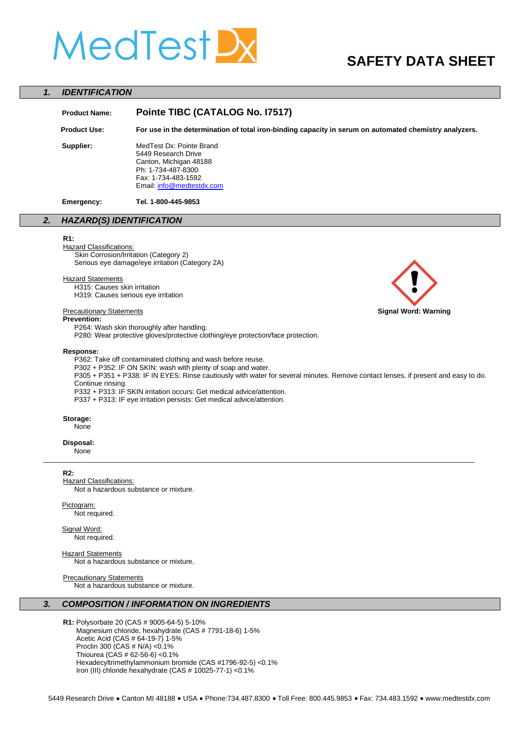# MedTest!

# **SAFETY DATA SHEET**

#### *1. IDENTIFICATION*

## **Product Name: Pointe TIBC (CATALOG No. I7517)**

 **Product Use: For use in the determination of total iron-binding capacity in serum on automated chemistry analyzers.** 

**Supplier:** MedTest Dx: Pointe Brand 5449 Research Drive Canton, Michigan 48188 Ph: 1-734-487-8300 Fax: 1-734-483-1592 Email[: info@medtestdx.com](mailto:info@medtestdx.com)

**Emergency: Tel. 1-800-445-9853**

#### *2.**HAZARD(S) IDENTIFICATION*

#### **R1:**

**Hazard Classifications:** Skin Corrosion/Irritation (Category 2)

Serious eye damage/eye irritation (Category 2A)

#### **Hazard Statements**

H315: Causes skin irritation H319: Causes serious eye irritation

#### **Prevention:**

P264: Wash skin thoroughly after handling. P280: Wear protective gloves/protective clothing/eye protection/face protection.

#### **Response:**

P362: Take off contaminated clothing and wash before reuse.

P302 + P352: IF ON SKIN: wash with plenty of soap and water.

P305 + P351 + P338: IF IN EYES: Rinse cautiously with water for several minutes. Remove contact lenses, if present and easy to do. Continue rinsing.

\_\_\_\_\_\_\_\_\_\_\_\_\_\_\_\_\_\_\_\_\_\_\_\_\_\_\_\_\_\_\_\_\_\_\_\_\_\_\_\_\_\_\_\_\_\_\_\_\_\_\_\_\_\_\_\_\_\_\_\_\_\_\_\_\_\_\_\_\_\_\_\_\_\_\_\_\_\_\_\_\_\_\_\_\_\_\_\_\_\_\_\_\_\_\_\_\_\_\_\_\_\_\_\_\_\_\_\_\_\_\_

P332 + P313: IF SKIN irritation occurs: Get medical advice/attention.

P337 + P313: IF eye irritation persists: Get medical advice/attention.

#### **Storage:**

**None** 

#### **Disposal:**

None

#### **R2:**

**Hazard Classifications:** Not a hazardous substance or mixture.

### Pictogram:

Not required.

Signal Word:

Not required.

**Hazard Statements** Not a hazardous substance or mixture.

#### Precautionary Statements

Not a hazardous substance or mixture.

#### *3. COMPOSITION / INFORMATION ON INGREDIENTS*

**R1:** Polysorbate 20 (CAS # 9005-64-5) 5-10% Magnesium chloride, hexahydrate (CAS # 7791-18-6) 1-5% Acetic Acid (CAS # 64-19-7) 1-5% Proclin 300 (CAS # N/A) <0.1% Thiourea (CAS # 62-56-6) <0.1% Hexadecyltrimethylammonium bromide (CAS #1796-92-5) <0.1% Iron (III) chloride hexahydrate (CAS # 10025-77-1) <0.1%



#### 5449 Research Drive . Canton MI 48188 . USA . Phone:734.487.8300 . Toll Free: 800.445.9853 . Fax: 734.483.1592 . www.medtestdx.com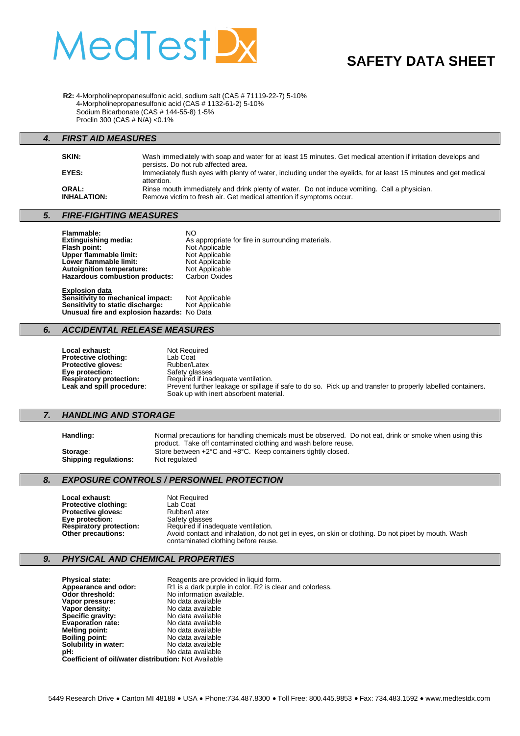

# **SAFETY DATA SHEET**

**R2:** 4-Morpholinepropanesulfonic acid, sodium salt (CAS # 71119-22-7) 5-10% 4**-**Morpholinepropanesulfonic acid (CAS # 1132-61-2) 5-10% Sodium Bicarbonate (CAS # 144-55-8) 1-5% Proclin 300 (CAS # N/A) <0.1%

#### *4. FIRST AID MEASURES*

| SKIN:                       | Wash immediately with soap and water for at least 15 minutes. Get medical attention if irritation develops and<br>persists. Do not rub affected area.                |
|-----------------------------|----------------------------------------------------------------------------------------------------------------------------------------------------------------------|
| EYES:                       | Immediately flush eyes with plenty of water, including under the eyelids, for at least 15 minutes and get medical<br>attention.                                      |
| ORAL:<br><b>INHALATION:</b> | Rinse mouth immediately and drink plenty of water. Do not induce vomiting. Call a physician.<br>Remove victim to fresh air. Get medical attention if symptoms occur. |

#### *5. FIRE-FIGHTING MEASURES*

| Flammable:<br><b>Extinguishing media:</b><br>Flash point:<br>Upper flammable limit:<br>Lower flammable limit: | NO.<br>As appropriate for fire in surrounding materials.<br>Not Applicable<br>Not Applicable<br>Not Applicable |
|---------------------------------------------------------------------------------------------------------------|----------------------------------------------------------------------------------------------------------------|
| <b>Autoignition temperature:</b>                                                                              | Not Applicable                                                                                                 |
| Hazardous combustion products:                                                                                | Carbon Oxides                                                                                                  |
| Evologian data                                                                                                |                                                                                                                |

**Explosion data Sensitivity to mechanical impact:** Not Applicable **Sensitivity to static discharge:** Not Applicable **Unusual fire and explosion hazards:** No Data

#### *6. ACCIDENTAL RELEASE MEASURES*

| Local exhaust:                 | Not Required                                                                                                                                          |
|--------------------------------|-------------------------------------------------------------------------------------------------------------------------------------------------------|
| <b>Protective clothing:</b>    | Lab Coat                                                                                                                                              |
| <b>Protective aloves:</b>      | Rubber/Latex                                                                                                                                          |
| Eye protection:                | Safety glasses                                                                                                                                        |
| <b>Respiratory protection:</b> | Required if inadequate ventilation.                                                                                                                   |
| Leak and spill procedure:      | Prevent further leakage or spillage if safe to do so. Pick up and transfer to properly labelled containers.<br>Soak up with inert absorbent material. |

#### *7. HANDLING AND STORAGE*

| Handling: |  |
|-----------|--|
|-----------|--|

**Handling:** Normal precautions for handling chemicals must be observed. Do not eat, drink or smoke when using this product. Take off contaminated clothing and wash before reuse. **Storage:** Store between +2°C and +8°C. Keep containers tightly closed. **Shipping regulations:** Not regulated

#### *8. EXPOSURE CONTROLS / PERSONNEL PROTECTION*

| Local exhaust:                 | <b>Not Required</b>                                                                                                                       |
|--------------------------------|-------------------------------------------------------------------------------------------------------------------------------------------|
| <b>Protective clothing:</b>    | Lab Coat                                                                                                                                  |
| <b>Protective gloves:</b>      | Rubber/Latex                                                                                                                              |
| Eye protection:                | Safety glasses                                                                                                                            |
| <b>Respiratory protection:</b> | Required if inadequate ventilation.                                                                                                       |
| Other precautions:             | Avoid contact and inhalation, do not get in eyes, on skin or clothing. Do not pipet by mouth. Wash<br>contaminated clothing before reuse. |

#### *9. PHYSICAL AND CHEMICAL PROPERTIES*

**Physical state:** Reagents are provided in liquid form.<br> **Appearance and odor:** R1 is a dark purple in color. R2 is cleand of threshold: No information available. **Appearance and odor:** R1 is a dark purple in color. R2 is clear and colorless. **Odor threshold:** No information available. **Vapor pressure:** No data available<br> **Vapor density:** No data available<br>
No data available **Vapor density:** No data available **Specific gravity:** No data available **Evaporation rate:** No data available<br> **Melting point:** No data available **Melting point:** No data available<br> **Boiling point:** No data available **Boiling point:** No data available **Solubility in water:** No data available<br> **pH:** No data available **pH:** No data available **Coefficient of oil/water distribution:** Not Available